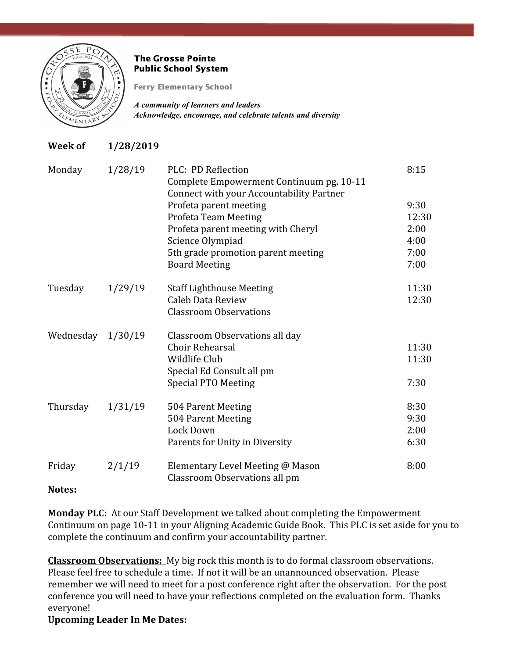

## The Grosse Pointe Public School System

Ferry Elementary School

*A community of learners and leaders Acknowledge, encourage, and celebrate talents and diversity*

**Week of 1/28/2019**

| Monday    | 1/28/19 | PLC: PD Reflection<br>Complete Empowerment Continuum pg. 10-11<br><b>Connect with your Accountability Partner</b> | 8:15  |
|-----------|---------|-------------------------------------------------------------------------------------------------------------------|-------|
|           |         | Profeta parent meeting                                                                                            | 9:30  |
|           |         | Profeta Team Meeting                                                                                              | 12:30 |
|           |         | Profeta parent meeting with Cheryl                                                                                | 2:00  |
|           |         | Science Olympiad                                                                                                  | 4:00  |
|           |         | 5th grade promotion parent meeting                                                                                | 7:00  |
|           |         | <b>Board Meeting</b>                                                                                              | 7:00  |
| Tuesday   | 1/29/19 | <b>Staff Lighthouse Meeting</b>                                                                                   | 11:30 |
|           |         | Caleb Data Review                                                                                                 | 12:30 |
|           |         | <b>Classroom Observations</b>                                                                                     |       |
| Wednesday | 1/30/19 | Classroom Observations all day                                                                                    |       |
|           |         | <b>Choir Rehearsal</b>                                                                                            | 11:30 |
|           |         | <b>Wildlife Club</b>                                                                                              | 11:30 |
|           |         | Special Ed Consult all pm                                                                                         |       |
|           |         | <b>Special PTO Meeting</b>                                                                                        | 7:30  |
| Thursday  | 1/31/19 | 504 Parent Meeting                                                                                                | 8:30  |
|           |         | 504 Parent Meeting                                                                                                | 9:30  |
|           |         | <b>Lock Down</b>                                                                                                  | 2:00  |
|           |         | Parents for Unity in Diversity                                                                                    | 6:30  |
| Friday    | 2/1/19  | Elementary Level Meeting @ Mason<br>Classroom Observations all pm                                                 | 8:00  |

**Notes:**

**Monday PLC:** At our Staff Development we talked about completing the Empowerment Continuum on page 10-11 in your Aligning Academic Guide Book. This PLC is set aside for you to complete the continuum and confirm your accountability partner.

**Classroom Observations:** My big rock this month is to do formal classroom observations. Please feel free to schedule a time. If not it will be an unannounced observation. Please remember we will need to meet for a post conference right after the observation. For the post conference you will need to have your reflections completed on the evaluation form. Thanks everyone!

## **Upcoming Leader In Me Dates:**